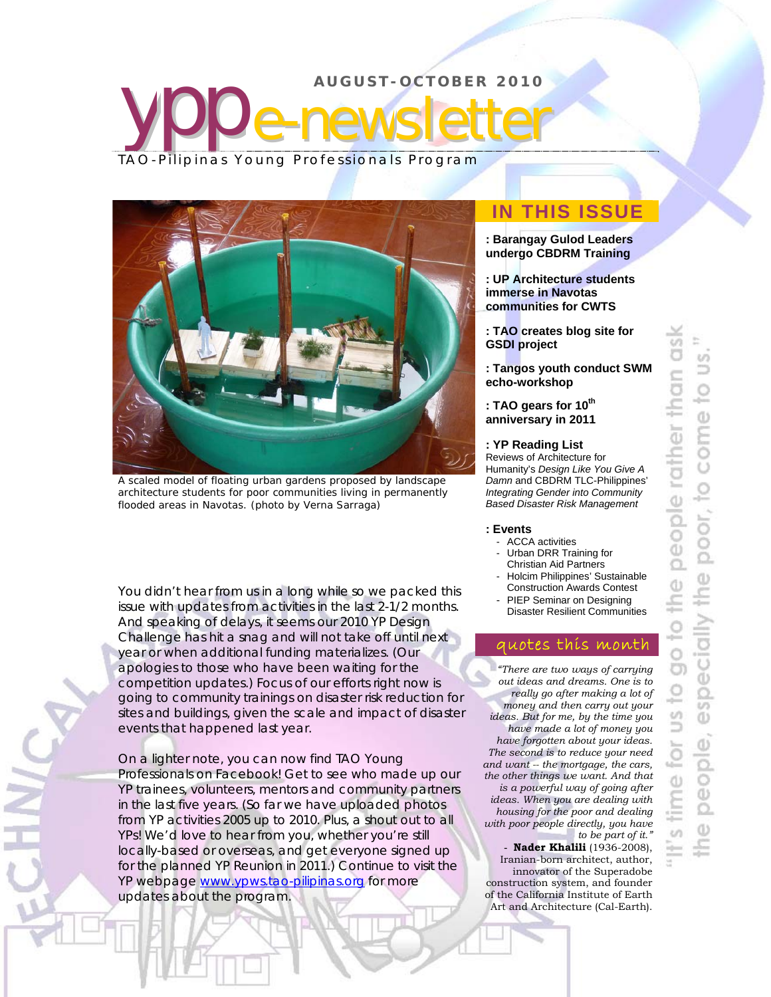## ypp **AUGUST-OCTOBER 2010**  e-newsletter TAO-Pilipinas Young Professionals Program



A scaled model of floating urban gardens proposed by landscape architecture students for poor communities living in permanently flooded areas in Navotas. *(photo by Verna Sarraga)*

You didn't hear from us in a long while so we packed this issue with updates from activities in the last 2-1/2 months. And speaking of delays, it seems our 2010 YP Design Challenge has hit a snag and will not take off until next year or when additional funding materializes. (Our apologies to those who have been waiting for the competition updates.) Focus of our efforts right now is going to community trainings on disaster risk reduction for sites and buildings, given the scale and impact of disaster events that happened last year.

On a lighter note, you can now find TAO Young Professionals on Facebook! Get to see who made up our YP trainees, volunteers, mentors and community partners in the last five years. (So far we have uploaded photos from YP activities 2005 up to 2010. Plus, a shout out to all YPs! We'd love to hear from you, whether you're still locally-based or overseas, and get everyone signed up for the planned YP Reunion in 2011.) Continue to visit the YP webpage www.ypws.tao-pilipinas.org for more updates about the program.

## **IN THIS ISSUE**

- **: Barangay Gulod Leaders undergo CBDRM Training**
- **: UP Architecture students immerse in Navotas communities for CWTS**
- **: TAO creates blog site for GSDI project**
- **: Tangos youth conduct SWM echo-workshop**
- **: TAO gears for 10th anniversary in 2011**

### **: YP Reading List**

Reviews of Architecture for Humanity's *Design Like You Give A Damn* and CBDRM TLC-Philippines' *Integrating Gender into Community Based Disaster Risk Management*

#### **: Events**

- ACCA activities
- Urban DRR Training for
- Christian Aid Partners Holcim Philippines' Sustainable Construction Awards Contest
- PIEP Seminar on Designing Disaster Resilient Communities

### quotes this month

*"There are two ways of carrying out ideas and dreams. One is to really go after making a lot of money and then carry out your ideas. But for me, by the time you have made a lot of money you have forgotten about your ideas. The second is to reduce your need and want -- the mortgage, the cars, the other things we want. And that is a powerful way of going after ideas. When you are dealing with housing for the poor and dealing with poor people directly, you have to be part of it."*  **- Nader Khalili** (1936-2008),

Iranian-born architect, author, innovator of the Superadobe construction system, and founder of the California Institute of Earth Art and Architecture (Cal-Earth).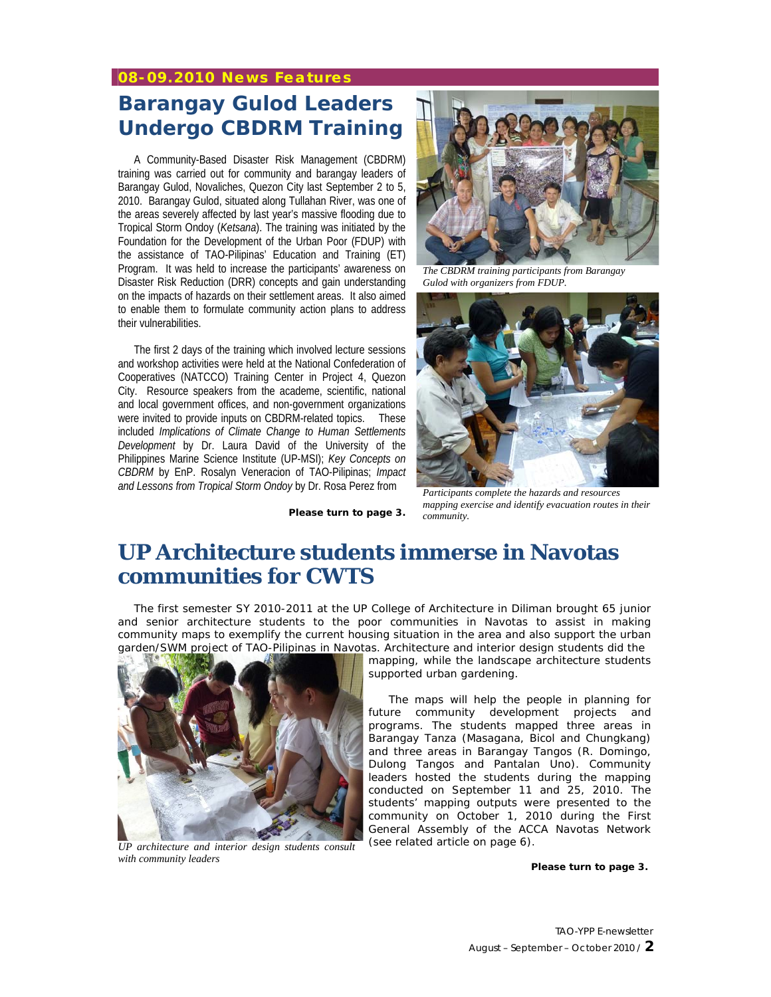### **08-09.2010 News Features**

## **Barangay Gulod Leaders Undergo CBDRM Training**

A Community-Based Disaster Risk Management (CBDRM) training was carried out for community and barangay leaders of Barangay Gulod, Novaliches, Quezon City last September 2 to 5, 2010. Barangay Gulod, situated along Tullahan River, was one of the areas severely affected by last year's massive flooding due to Tropical Storm Ondoy (*Ketsana*). The training was initiated by the Foundation for the Development of the Urban Poor (FDUP) with the assistance of TAO-Pilipinas' Education and Training (ET) Program. It was held to increase the participants' awareness on Disaster Risk Reduction (DRR) concepts and gain understanding on the impacts of hazards on their settlement areas. It also aimed to enable them to formulate community action plans to address their vulnerabilities.

The first 2 days of the training which involved lecture sessions and workshop activities were held at the National Confederation of Cooperatives (NATCCO) Training Center in Project 4, Quezon City. Resource speakers from the academe, scientific, national and local government offices, and non-government organizations were invited to provide inputs on CBDRM-related topics. These included *Implications of Climate Change to Human Settlements Development* by Dr. Laura David of the University of the Philippines Marine Science Institute (UP-MSI); *Key Concepts on CBDRM* by EnP. Rosalyn Veneracion of TAO-Pilipinas; *Impact and Lessons from Tropical Storm Ondoy* by Dr. Rosa Perez from



*The CBDRM training participants from Barangay Gulod with organizers from FDUP.* 



**Please turn to page 3.** 

*Participants complete the hazards and resources mapping exercise and identify evacuation routes in their community.* 

## **UP Architecture students immerse in Navotas communities for CWTS**

The first semester SY 2010-2011 at the UP College of Architecture in Diliman brought 65 junior and senior architecture students to the poor communities in Navotas to assist in making community maps to exemplify the current housing situation in the area and also support the urban garden/SWM project of TAO-Pilipinas in Navotas. Architecture and interior design students did the



*UP architecture and interior design students consult with community leaders*

mapping, while the landscape architecture students supported urban gardening.

The maps will help the people in planning for future community development projects and programs. The students mapped three areas in Barangay Tanza (Masagana, Bicol and Chungkang) and three areas in Barangay Tangos (R. Domingo, Dulong Tangos and Pantalan Uno). Community leaders hosted the students during the mapping conducted on September 11 and 25, 2010. The students' mapping outputs were presented to the community on October 1, 2010 during the First General Assembly of the ACCA Navotas Network (*see related article on page 6*).

**Please turn to page 3.**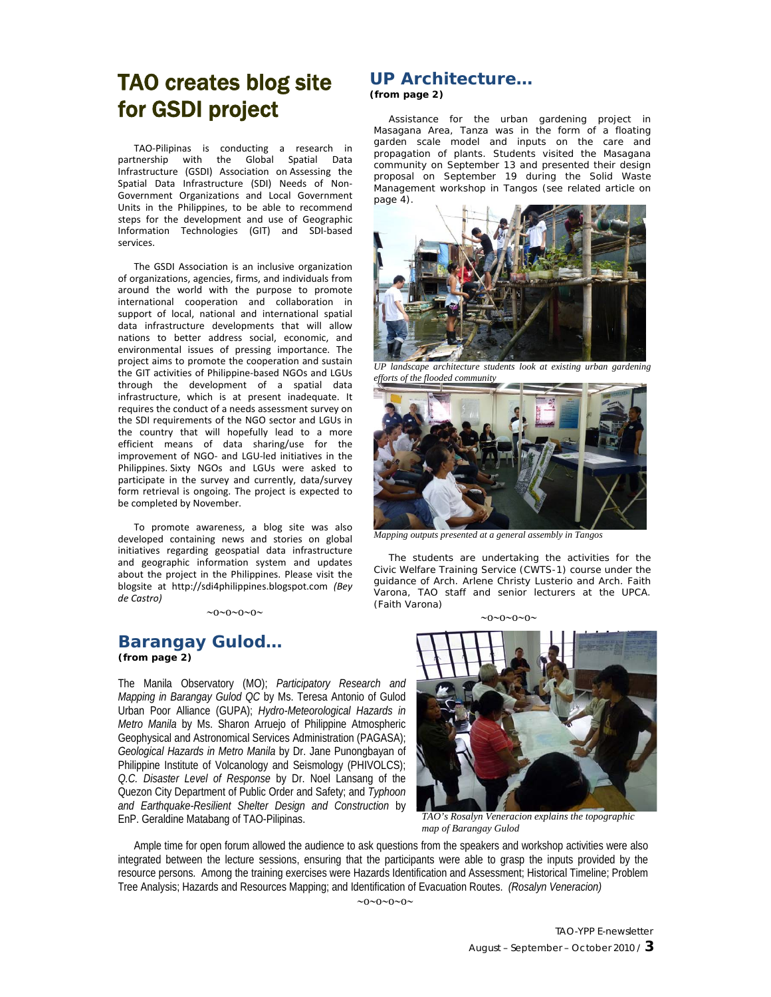## TAO creates blog site for GSDI project

TAO‐Pilipinas is conducting a research in partnership with the Global Spatial Data Infrastructure (GSDI) Association on Assessing the Spatial Data Infrastructure (SDI) Needs of Non‐ Government Organizations and Local Government Units in the Philippines, to be able to recommend steps for the development and use of Geographic Information Technologies (GIT) and SDI‐based services.

The GSDI Association is an inclusive organization of organizations, agencies, firms, and individuals from around the world with the purpose to promote international cooperation and collaboration in support of local, national and international spatial data infrastructure developments that will allow nations to better address social, economic, and environmental issues of pressing importance. The project aims to promote the cooperation and sustain the GIT activities of Philippine‐based NGOs and LGUs through the development of a spatial data infrastructure, which is at present inadequate. It requires the conduct of a needs assessment survey on the SDI requirements of the NGO sector and LGUs in the country that will hopefully lead to a more efficient means of data sharing/use for the improvement of NGO‐ and LGU‐led initiatives in the Philippines. Sixty NGOs and LGUs were asked to participate in the survey and currently, data/survey form retrieval is ongoing. The project is expected to be completed by November.

To promote awareness, a blog site was also developed containing news and stories on global initiatives regarding geospatial data infrastructure and geographic information system and updates about the project in the Philippines. Please visit the blogsite at http://sdi4philippines.blogspot.com *(Bey de Castro)*

 $\sim 0 \sim 0 \sim 0 \sim 0$ 

### **Barangay Gulod… (from page 2)**

The Manila Observatory (MO); *Participatory Research and Mapping in Barangay Gulod QC* by Ms. Teresa Antonio of Gulod Urban Poor Alliance (GUPA); *Hydro-Meteorological Hazards in Metro Manila* by Ms. Sharon Arruejo of Philippine Atmospheric Geophysical and Astronomical Services Administration (PAGASA); *Geological Hazards in Metro Manila* by Dr. Jane Punongbayan of Philippine Institute of Volcanology and Seismology (PHIVOLCS); *Q.C. Disaster Level of Response* by Dr. Noel Lansang of the Quezon City Department of Public Order and Safety; and *Typhoon and Earthquake-Resilient Shelter Design and Construction* by EnP. Geraldine Matabang of TAO-Pilipinas. *TAO's Rosalyn Veneracion explains the topographic* 

### **UP Architecture… (from page 2)**

Assistance for the urban gardening project in Masagana Area, Tanza was in the form of a floating garden scale model and inputs on the care and propagation of plants. Students visited the Masagana community on September 13 and presented their design proposal on September 19 during the Solid Waste Management workshop in Tangos (*see related article on page 4*).



*UP landscape architecture students look at existing urban gardening efforts of the flooded community* 



*Mapping outputs presented at a general assembly in Tangos* 

The students are undertaking the activities for the Civic Welfare Training Service (CWTS-1) course under the guidance of Arch. Arlene Christy Lusterio and Arch. Faith Varona, TAO staff and senior lecturers at the UPCA. *(Faith Varona)*

 $\sim$ 0 $\sim$ 0 $\sim$ 0 $\sim$ 



*map of Barangay Gulod*

Ample time for open forum allowed the audience to ask questions from the speakers and workshop activities were also integrated between the lecture sessions, ensuring that the participants were able to grasp the inputs provided by the resource persons. Among the training exercises were Hazards Identification and Assessment; Historical Timeline; Problem Tree Analysis; Hazards and Resources Mapping; and Identification of Evacuation Routes. *(Rosalyn Veneracion)*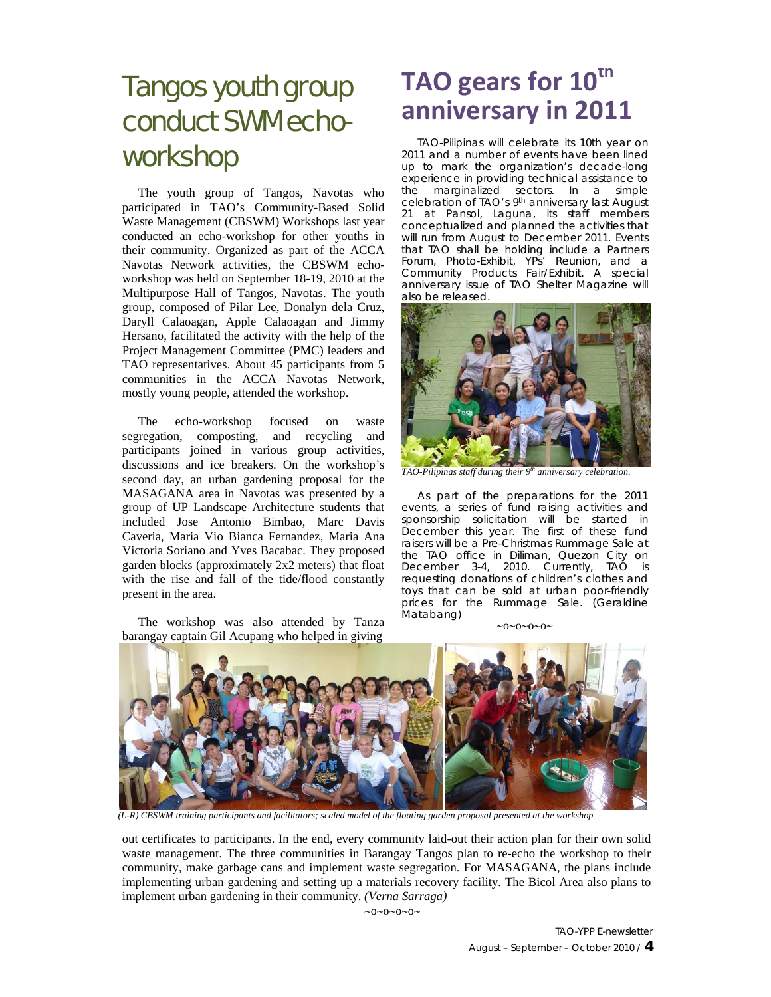# Tangos youth group conduct SWM echoworkshop

The youth group of Tangos, Navotas who participated in TAO's Community-Based Solid Waste Management (CBSWM) Workshops last year conducted an echo-workshop for other youths in their community. Organized as part of the ACCA Navotas Network activities, the CBSWM echoworkshop was held on September 18-19, 2010 at the Multipurpose Hall of Tangos, Navotas. The youth group, composed of Pilar Lee, Donalyn dela Cruz, Daryll Calaoagan, Apple Calaoagan and Jimmy Hersano, facilitated the activity with the help of the Project Management Committee (PMC) leaders and TAO representatives. About 45 participants from 5 communities in the ACCA Navotas Network, mostly young people, attended the workshop.

The echo-workshop focused on waste segregation, composting, and recycling and participants joined in various group activities, discussions and ice breakers. On the workshop's second day, an urban gardening proposal for the MASAGANA area in Navotas was presented by a group of UP Landscape Architecture students that included Jose Antonio Bimbao, Marc Davis Caveria, Maria Vio Bianca Fernandez, Maria Ana Victoria Soriano and Yves Bacabac. They proposed garden blocks (approximately 2x2 meters) that float with the rise and fall of the tide/flood constantly present in the area.

The workshop was also attended by Tanza barangay captain Gil Acupang who helped in giving

# **TAO gears for 10th anniversary in 2011**

TAO-Pilipinas will celebrate its 10th year on 2011 and a number of events have been lined up to mark the organization's decade-long experience in providing technical assistance to the marginalized sectors. In a simple celebration of TAO's 9th anniversary last August 21 at Pansol, Laguna, its staff members conceptualized and planned the activities that will run from August to December 2011. Events that TAO shall be holding include a Partners Forum, Photo-Exhibit, YPs' Reunion, and a Community Products Fair/Exhibit. A special anniversary issue of TAO Shelter Magazine will also be released.



*TAO-Pilipinas staff during their 9<sup>th</sup> anniversary celebration.* 

As part of the preparations for the 2011 events, a series of fund raising activities and sponsorship solicitation will be started in December this year. The first of these fund raisers will be a Pre-Christmas Rummage Sale at the TAO office in Diliman, Quezon City on December 3-4, 2010. Currently, TAO is requesting donations of children's clothes and toys that can be sold at urban poor-friendly prices for the Rummage Sale. *(Geraldine Matabang)*

 $20 \times 0 \times 0 \times 0$ 



*(L-R) CBSWM training participants and facilitators; scaled model of the floating garden proposal presented at the workshop* 

out certificates to participants. In the end, every community laid-out their action plan for their own solid waste management. The three communities in Barangay Tangos plan to re-echo the workshop to their community, make garbage cans and implement waste segregation. For MASAGANA, the plans include implementing urban gardening and setting up a materials recovery facility. The Bicol Area also plans to implement urban gardening in their community. *(Verna Sarraga)*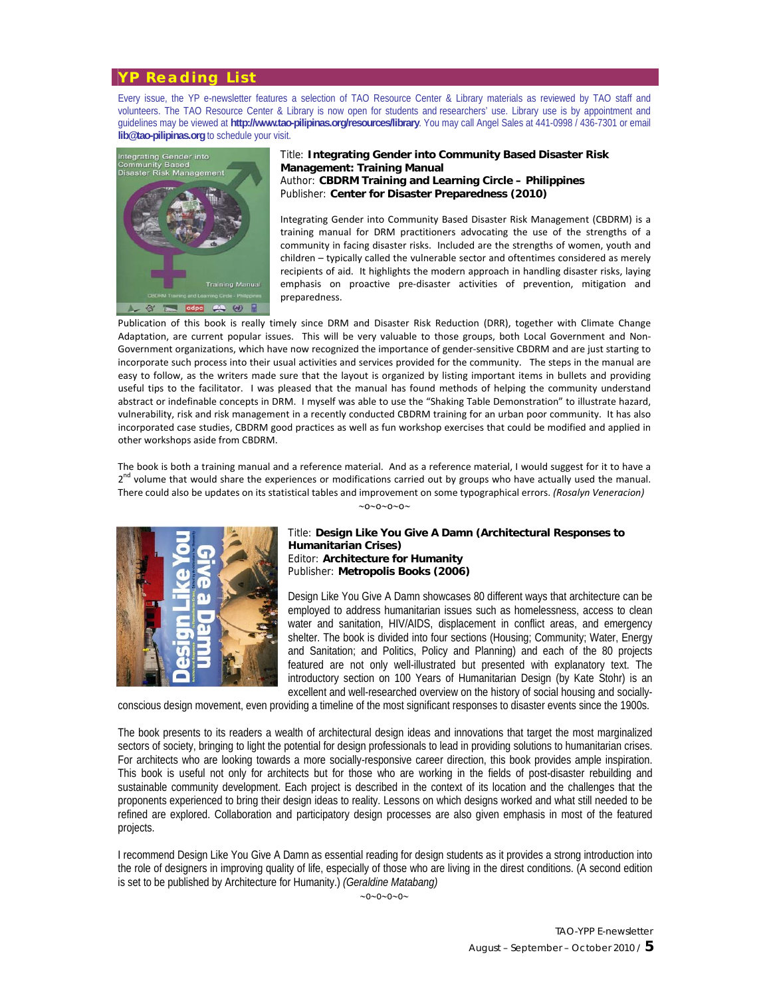### **YP Reading List**

Every issue, the YP e-newsletter features a selection of TAO Resource Center & Library materials as reviewed by TAO staff and volunteers. The TAO Resource Center & Library is now open for students and researchers' use. Library use is by appointment and guidelines may be viewed at **http://www.tao-pilipinas.org/resources/library**. You may call Angel Sales at 441-0998 / 436-7301 or email **lib@tao-pilipinas.org** to schedule your visit.



Title: **Integrating Gender into Community Based Disaster Risk Management: Training Manual** Author: **CBDRM Training and Learning Circle – Philippines** Publisher: **Center for Disaster Preparedness (2010)**

Integrating Gender into Community Based Disaster Risk Management (CBDRM) is a training manual for DRM practitioners advocating the use of the strengths of a community in facing disaster risks. Included are the strengths of women, youth and children – typically called the vulnerable sector and oftentimes considered as merely recipients of aid. It highlights the modern approach in handling disaster risks, laying emphasis on proactive pre-disaster activities of prevention, mitigation and preparedness.

Publication of this book is really timely since DRM and Disaster Risk Reduction (DRR), together with Climate Change Adaptation, are current popular issues. This will be very valuable to those groups, both Local Government and Non-Government organizations, which have now recognized the importance of gender‐sensitive CBDRM and are just starting to incorporate such process into their usual activities and services provided for the community. The steps in the manual are easy to follow, as the writers made sure that the layout is organized by listing important items in bullets and providing useful tips to the facilitator. I was pleased that the manual has found methods of helping the community understand abstract or indefinable concepts in DRM. I myself was able to use the "Shaking Table Demonstration" to illustrate hazard, vulnerability, risk and risk management in a recently conducted CBDRM training for an urban poor community. It has also incorporated case studies, CBDRM good practices as well as fun workshop exercises that could be modified and applied in other workshops aside from CBDRM.

The book is both a training manual and a reference material. And as a reference material, I would suggest for it to have a 2<sup>nd</sup> volume that would share the experiences or modifications carried out by groups who have actually used the manual. There could also be updates on its statistical tables and improvement on some typographical errors. *(Rosalyn Veneracion)*

 $\sim 0 \sim 0 \sim 0 \sim$ 



#### Title: **Design Like You Give A Damn (Architectural Responses to Humanitarian Crises)** Editor: **Architecture for Humanity** Publisher: **Metropolis Books (2006)**

Design Like You Give A Damn showcases 80 different ways that architecture can be employed to address humanitarian issues such as homelessness, access to clean water and sanitation, HIV/AIDS, displacement in conflict areas, and emergency shelter. The book is divided into four sections (Housing; Community; Water, Energy and Sanitation; and Politics, Policy and Planning) and each of the 80 projects featured are not only well-illustrated but presented with explanatory text. The introductory section on 100 Years of Humanitarian Design (by Kate Stohr) is an excellent and well-researched overview on the history of social housing and socially-

conscious design movement, even providing a timeline of the most significant responses to disaster events since the 1900s.

The book presents to its readers a wealth of architectural design ideas and innovations that target the most marginalized sectors of society, bringing to light the potential for design professionals to lead in providing solutions to humanitarian crises. For architects who are looking towards a more socially-responsive career direction, this book provides ample inspiration. This book is useful not only for architects but for those who are working in the fields of post-disaster rebuilding and sustainable community development. Each project is described in the context of its location and the challenges that the proponents experienced to bring their design ideas to reality. Lessons on which designs worked and what still needed to be refined are explored. Collaboration and participatory design processes are also given emphasis in most of the featured projects.

I recommend Design Like You Give A Damn as essential reading for design students as it provides a strong introduction into the role of designers in improving quality of life, especially of those who are living in the direst conditions. (A second edition is set to be published by Architecture for Humanity.) *(Geraldine Matabang)*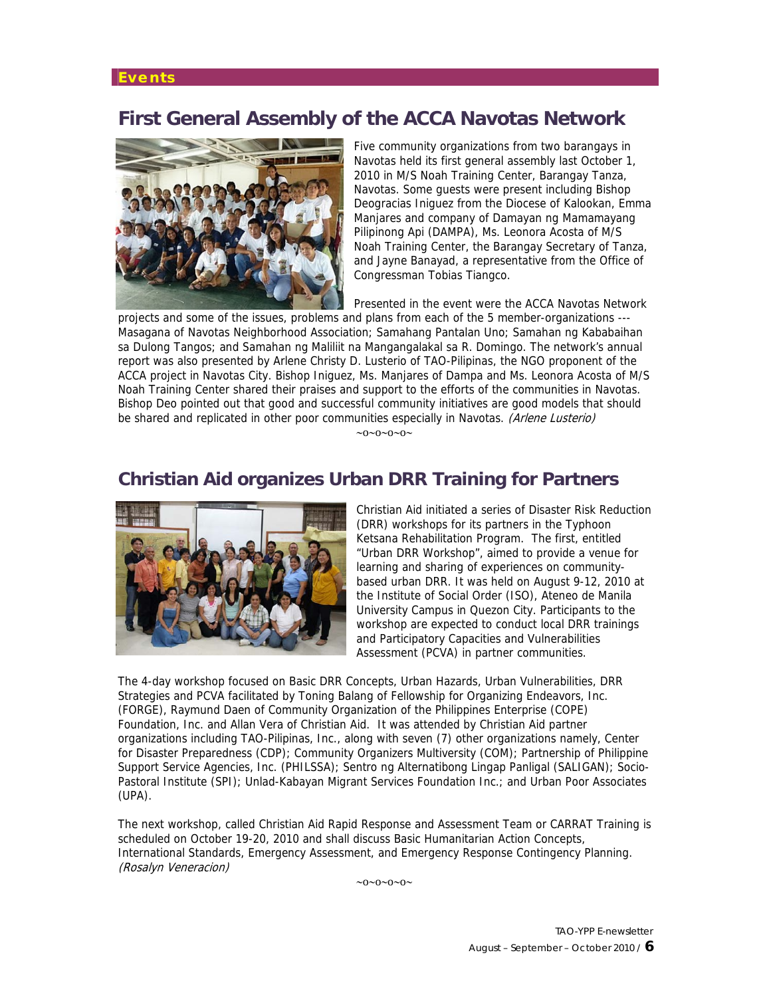### **Events**

## **First General Assembly of the ACCA Navotas Network**



Five community organizations from two barangays in Navotas held its first general assembly last October 1, 2010 in M/S Noah Training Center, Barangay Tanza, Navotas. Some guests were present including Bishop Deogracias Iniguez from the Diocese of Kalookan, Emma Manjares and company of Damayan ng Mamamayang Pilipinong Api (DAMPA), Ms. Leonora Acosta of M/S Noah Training Center, the Barangay Secretary of Tanza, and Jayne Banayad, a representative from the Office of Congressman Tobias Tiangco.

Presented in the event were the ACCA Navotas Network

projects and some of the issues, problems and plans from each of the 5 member-organizations --- Masagana of Navotas Neighborhood Association; Samahang Pantalan Uno; Samahan ng Kababaihan sa Dulong Tangos; and Samahan ng Maliliit na Mangangalakal sa R. Domingo. The network's annual report was also presented by Arlene Christy D. Lusterio of TAO-Pilipinas, the NGO proponent of the ACCA project in Navotas City. Bishop Iniguez, Ms. Manjares of Dampa and Ms. Leonora Acosta of M/S Noah Training Center shared their praises and support to the efforts of the communities in Navotas. Bishop Deo pointed out that good and successful community initiatives are good models that should be shared and replicated in other poor communities especially in Navotas. (Arlene Lusterio)

 $\sim 0 \sim 0 \sim 0 \sim 0$ 

### **Christian Aid organizes Urban DRR Training for Partners**



Christian Aid initiated a series of Disaster Risk Reduction (DRR) workshops for its partners in the Typhoon Ketsana Rehabilitation Program. The first, entitled "Urban DRR Workshop", aimed to provide a venue for learning and sharing of experiences on communitybased urban DRR. It was held on August 9-12, 2010 at the Institute of Social Order (ISO), Ateneo de Manila University Campus in Quezon City. Participants to the workshop are expected to conduct local DRR trainings and Participatory Capacities and Vulnerabilities Assessment (PCVA) in partner communities.

The 4-day workshop focused on Basic DRR Concepts, Urban Hazards, Urban Vulnerabilities, DRR Strategies and PCVA facilitated by Toning Balang of Fellowship for Organizing Endeavors, Inc. (FORGE), Raymund Daen of Community Organization of the Philippines Enterprise (COPE) Foundation, Inc. and Allan Vera of Christian Aid. It was attended by Christian Aid partner organizations including TAO-Pilipinas, Inc., along with seven (7) other organizations namely, Center for Disaster Preparedness (CDP); Community Organizers Multiversity (COM); Partnership of Philippine Support Service Agencies, Inc. (PHILSSA); Sentro ng Alternatibong Lingap Panligal (SALIGAN); Socio-Pastoral Institute (SPI); Unlad-Kabayan Migrant Services Foundation Inc.; and Urban Poor Associates (UPA).

The next workshop, called Christian Aid Rapid Response and Assessment Team or CARRAT Training is scheduled on October 19-20, 2010 and shall discuss Basic Humanitarian Action Concepts, International Standards, Emergency Assessment, and Emergency Response Contingency Planning. (Rosalyn Veneracion)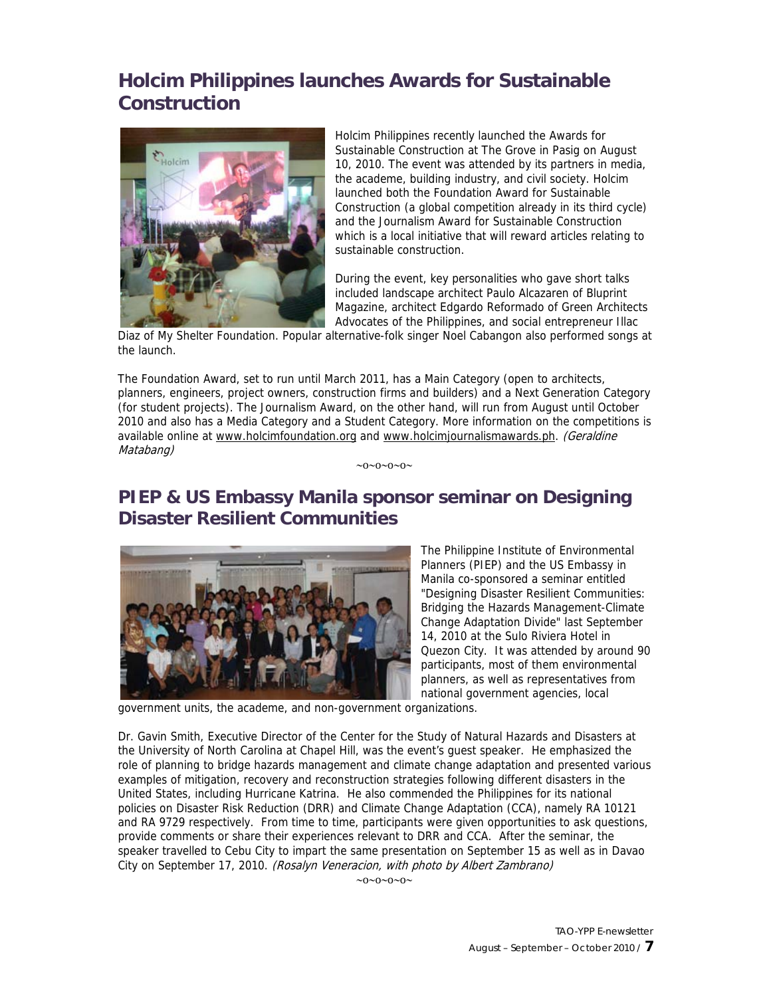## **Holcim Philippines launches Awards for Sustainable Construction**



Holcim Philippines recently launched the Awards for Sustainable Construction at The Grove in Pasig on August 10, 2010. The event was attended by its partners in media, the academe, building industry, and civil society. Holcim launched both the Foundation Award for Sustainable Construction (a global competition already in its third cycle) and the Journalism Award for Sustainable Construction which is a local initiative that will reward articles relating to sustainable construction.

During the event, key personalities who gave short talks included landscape architect Paulo Alcazaren of Bluprint Magazine, architect Edgardo Reformado of Green Architects Advocates of the Philippines, and social entrepreneur Illac

Diaz of My Shelter Foundation. Popular alternative-folk singer Noel Cabangon also performed songs at the launch.

The Foundation Award, set to run until March 2011, has a Main Category (open to architects, planners, engineers, project owners, construction firms and builders) and a Next Generation Category (for student projects). The Journalism Award, on the other hand, will run from August until October 2010 and also has a Media Category and a Student Category. More information on the competitions is available online at www.holcimfoundation.org and www.holcimjournalismawards.ph. (Geraldine Matabang)

 $\sim 0 \sim 0 \sim 0 \sim 0$ 

## **PIEP & US Embassy Manila sponsor seminar on Designing Disaster Resilient Communities**



The Philippine Institute of Environmental Planners (PIEP) and the US Embassy in Manila co-sponsored a seminar entitled "Designing Disaster Resilient Communities: Bridging the Hazards Management-Climate Change Adaptation Divide" last September 14, 2010 at the Sulo Riviera Hotel in Quezon City. It was attended by around 90 participants, most of them environmental planners, as well as representatives from national government agencies, local

government units, the academe, and non-government organizations.

Dr. Gavin Smith, Executive Director of the Center for the Study of Natural Hazards and Disasters at the University of North Carolina at Chapel Hill, was the event's guest speaker. He emphasized the role of planning to bridge hazards management and climate change adaptation and presented various examples of mitigation, recovery and reconstruction strategies following different disasters in the United States, including Hurricane Katrina. He also commended the Philippines for its national policies on Disaster Risk Reduction (DRR) and Climate Change Adaptation (CCA), namely RA 10121 and RA 9729 respectively. From time to time, participants were given opportunities to ask questions, provide comments or share their experiences relevant to DRR and CCA. After the seminar, the speaker travelled to Cebu City to impart the same presentation on September 15 as well as in Davao City on September 17, 2010. (Rosalyn Veneracion, with photo by Albert Zambrano)